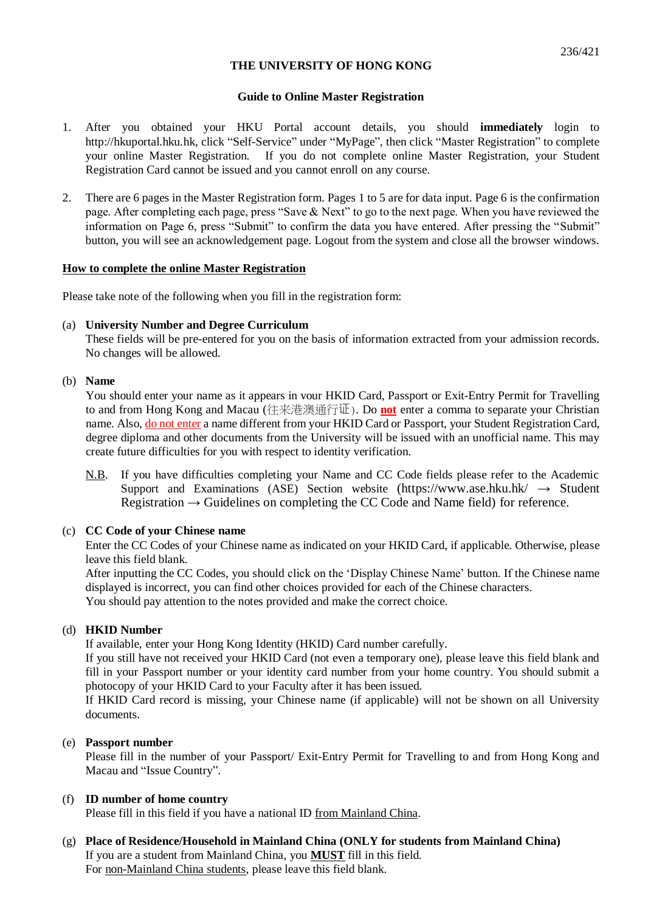# **Guide to Online Master Registration**

- 1. After you obtained your HKU Portal account details, you should **immediately** login to http://hkuportal.hku.hk, click "Self-Service" under "MyPage", then click "Master Registration" to complete your online Master Registration. If you do not complete online Master Registration, your Student Registration Card cannot be issued and you cannot enroll on any course.
- 2. There are 6 pages in the Master Registration form. Pages 1 to 5 are for data input. Page 6 is the confirmation page. After completing each page, press "Save & Next" to go to the next page. When you have reviewed the information on Page 6, press "Submit" to confirm the data you have entered. After pressing the "Submit" button, you will see an acknowledgement page. Logout from the system and close all the browser windows.

# **How to complete the online Master Registration**

Please take note of the following when you fill in the registration form:

# (a) **University Number and Degree Curriculum**

These fields will be pre-entered for you on the basis of information extracted from your admission records. No changes will be allowed.

# (b) **Name**

You should enter your name as it appears in your HKID Card, Passport or Exit-Entry Permit for Travelling to and from Hong Kong and Macau (往来港澳通行证). Do **not** enter a comma to separate your Christian name. Also, do not enter a name different from your HKID Card or Passport, your Student Registration Card, degree diploma and other documents from the University will be issued with an unofficial name. This may create future difficulties for you with respect to identity verification.

N.B. If you have difficulties completing your Name and CC Code fields please refer to the Academic Support and Examinations (ASE) Section website (https://www.ase.hku.hk/  $\rightarrow$  Student Registration → Guidelines on completing the CC Code and Name field) for reference.

# (c) **CC Code of your Chinese name**

Enter the CC Codes of your Chinese name as indicated on your HKID Card, if applicable. Otherwise, please leave this field blank.

After inputting the CC Codes, you should click on the 'Display Chinese Name' button. If the Chinese name displayed is incorrect, you can find other choices provided for each of the Chinese characters. You should pay attention to the notes provided and make the correct choice.

# (d) **HKID Number**

If available, enter your Hong Kong Identity (HKID) Card number carefully.

If you still have not received your HKID Card (not even a temporary one), please leave this field blank and fill in your Passport number or your identity card number from your home country. You should submit a photocopy of your HKID Card to your Faculty after it has been issued.

If HKID Card record is missing, your Chinese name (if applicable) will not be shown on all University documents.

# (e) **Passport number**

Please fill in the number of your Passport/ Exit-Entry Permit for Travelling to and from Hong Kong and Macau and "Issue Country".

# (f) **ID number of home country**

Please fill in this field if you have a national ID from Mainland China.

(g) **Place of Residence/Household in Mainland China (ONLY for students from Mainland China)** If you are a student from Mainland China, you **MUST** fill in this field. For non-Mainland China students, please leave this field blank.